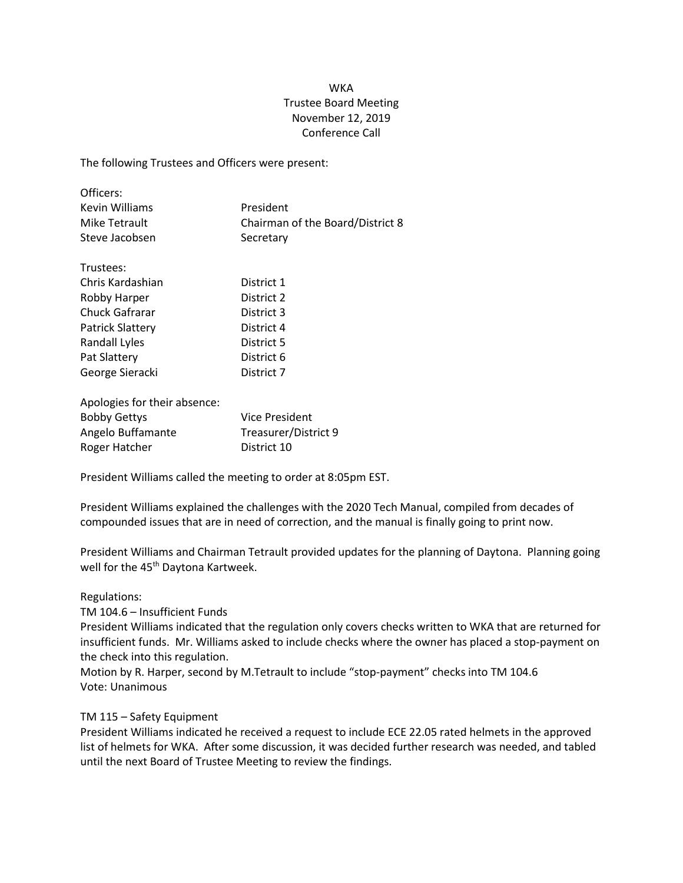## **WKA** Trustee Board Meeting November 12, 2019 Conference Call

The following Trustees and Officers were present:

| Officers:      |                                  |
|----------------|----------------------------------|
| Kevin Williams | President                        |
| Mike Tetrault  | Chairman of the Board/District 8 |
| Steve Jacobsen | Secretary                        |

| District 1 |
|------------|
| District 2 |
| District 3 |
| District 4 |
| District 5 |
| District 6 |
| District 7 |
|            |

| Vice President       |
|----------------------|
| Treasurer/District 9 |
| District 10          |
|                      |

President Williams called the meeting to order at 8:05pm EST.

President Williams explained the challenges with the 2020 Tech Manual, compiled from decades of compounded issues that are in need of correction, and the manual is finally going to print now.

President Williams and Chairman Tetrault provided updates for the planning of Daytona. Planning going well for the 45<sup>th</sup> Daytona Kartweek.

Regulations:

TM 104.6 – Insufficient Funds

President Williams indicated that the regulation only covers checks written to WKA that are returned for insufficient funds. Mr. Williams asked to include checks where the owner has placed a stop-payment on the check into this regulation.

Motion by R. Harper, second by M.Tetrault to include "stop-payment" checks into TM 104.6 Vote: Unanimous

## TM 115 – Safety Equipment

President Williams indicated he received a request to include ECE 22.05 rated helmets in the approved list of helmets for WKA. After some discussion, it was decided further research was needed, and tabled until the next Board of Trustee Meeting to review the findings.